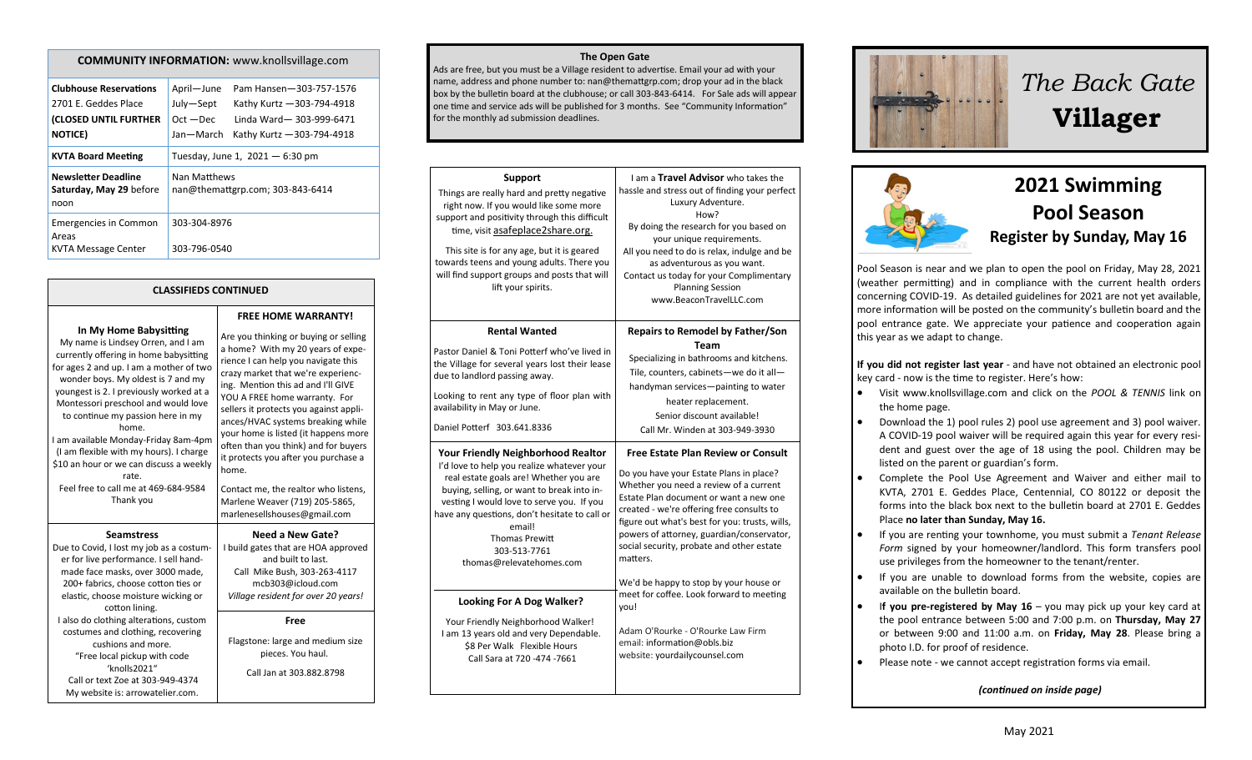### **COMMUNITY INFORMATION:** www.knollsvillage.com

| <b>Clubhouse Reservations</b>                                 | April-June   | Pam Hansen-303-757-1576           |
|---------------------------------------------------------------|--------------|-----------------------------------|
| 2701 E. Geddes Place                                          | July-Sept    | Kathy Kurtz - 303-794-4918        |
| (CLOSED UNTIL FURTHER                                         | $Oct - Dec$  | Linda Ward-303-999-6471           |
| <b>NOTICE</b> )                                               | Jan-March    | Kathy Kurtz - 303-794-4918        |
| <b>KVTA Board Meeting</b>                                     |              | Tuesday, June 1, $2021 - 6:30$ pm |
| <b>Newsletter Deadline</b><br>Saturday, May 29 before<br>noon | Nan Matthews | nan@themattgrp.com; 303-843-6414  |
| Emergencies in Common<br>Areas                                | 303-304-8976 |                                   |
| KVTA Message Center                                           | 303-796-0540 |                                   |

**CLASSIFIEDS CONTINUED**

**FREE HOME WARRANTY!**

My name is Lindsey Orren, and I am currently offering in home babysitting for ages 2 and up. I am a mother of two wonder boys. My oldest is 7 and my youngest is 2. I previously worked at a Montessori preschool and would love to continue my passion here in my home. I am available Monday-Friday 8am-4pm (I am flexible with my hours). I charge \$10 an hour or we can discuss a weekly rate. Feel free to call me at 469-684-9584 Thank you **Seamstress** Due to Covid, I lost my job as a costumer for live performance. I sell hand-

**In My Home Babysitting**

home. made face masks, over 3000 made, 200+ fabrics, choose cotton ties or elastic, choose moisture wicking or cotton lining. I also do clothing alterations, custom costumes and clothing, recovering cushions and more. "Free local pickup with code 'knolls2021" Call or text Zoe at 303-949-4374 My website is: arrowatelier.com.

Are you thinking or buying or selling a home? With my 20 years of experience I can help you navigate this crazy market that we're experiencing. Mention this ad and I'll GIVE YOU A FREE home warranty. For sellers it protects you against appliances/HVAC systems breaking while your home is listed (it happens more often than you think) and for buyers it protects you after you purchase a Contact me, the realtor who listens, Marlene Weaver (719) 205-5865, marlenesellshouses@gmail.com **Need a New Gate?** I build gates that are HOA approved

and built to last. Call Mike Bush, 303-263-4117 mcb303@icloud.com *Village resident for over 20 years!*

### **Free**

Flagstone: large and medium size pieces. You haul. Call Jan at 303.882.8798

#### **The Open Gate**

Ads are free, but you must be a Village resident to advertise. Email your ad with your name, address and phone number to: nan@themattgrp.com; drop your ad in the black box by the bulletin board at the clubhouse; or call 303-843-6414. For Sale ads will appear one time and service ads will be published for 3 months. See "Community Information" for the monthly ad submission deadlines.

| <b>Support</b><br>Things are really hard and pretty negative<br>right now. If you would like some more<br>support and positivity through this difficult<br>time, visit asafeplace2share.org.<br>This site is for any age, but it is geared<br>towards teens and young adults. There you<br>will find support groups and posts that will<br>lift your spirits. | I am a Travel Advisor who takes the<br>hassle and stress out of finding your perfect<br>Luxury Adventure.<br>How?<br>By doing the research for you based on<br>your unique requirements.<br>All you need to do is relax, indulge and be<br>as adventurous as you want.<br>Contact us today for your Complimentary<br><b>Planning Session</b><br>www.BeaconTravelLLC.com |
|---------------------------------------------------------------------------------------------------------------------------------------------------------------------------------------------------------------------------------------------------------------------------------------------------------------------------------------------------------------|-------------------------------------------------------------------------------------------------------------------------------------------------------------------------------------------------------------------------------------------------------------------------------------------------------------------------------------------------------------------------|
| <b>Rental Wanted</b><br>Pastor Daniel & Toni Potterf who've lived in<br>the Village for several years lost their lease<br>due to landlord passing away.<br>Looking to rent any type of floor plan with<br>availability in May or June.<br>Daniel Potterf 303.641.8336                                                                                         | <b>Repairs to Remodel by Father/Son</b><br><b>Team</b><br>Specializing in bathrooms and kitchens.<br>Tile, counters, cabinets-we do it all-<br>handyman services-painting to water<br>heater replacement.<br>Senior discount available!<br>Call Mr. Winden at 303-949-3930                                                                                              |
| <b>Your Friendly Neighborhood Realtor</b>                                                                                                                                                                                                                                                                                                                     | <b>Free Estate Plan Review or Consult</b>                                                                                                                                                                                                                                                                                                                               |
| I'd love to help you realize whatever your                                                                                                                                                                                                                                                                                                                    | Do you have your Estate Plans in place?                                                                                                                                                                                                                                                                                                                                 |
| real estate goals are! Whether you are                                                                                                                                                                                                                                                                                                                        | Whether you need a review of a current                                                                                                                                                                                                                                                                                                                                  |
| buying, selling, or want to break into in-                                                                                                                                                                                                                                                                                                                    | Estate Plan document or want a new one                                                                                                                                                                                                                                                                                                                                  |
| vesting I would love to serve you. If you                                                                                                                                                                                                                                                                                                                     | created - we're offering free consults to                                                                                                                                                                                                                                                                                                                               |
| have any questions, don't hesitate to call or                                                                                                                                                                                                                                                                                                                 | figure out what's best for you: trusts, wills,                                                                                                                                                                                                                                                                                                                          |
| email!                                                                                                                                                                                                                                                                                                                                                        | powers of attorney, guardian/conservator,                                                                                                                                                                                                                                                                                                                               |
| <b>Thomas Prewitt</b>                                                                                                                                                                                                                                                                                                                                         | social security, probate and other estate                                                                                                                                                                                                                                                                                                                               |
| 303-513-7761                                                                                                                                                                                                                                                                                                                                                  | matters.                                                                                                                                                                                                                                                                                                                                                                |
| thomas@relevatehomes.com                                                                                                                                                                                                                                                                                                                                      | We'd be happy to stop by your house or                                                                                                                                                                                                                                                                                                                                  |
| <b>Looking For A Dog Walker?</b>                                                                                                                                                                                                                                                                                                                              | meet for coffee. Look forward to meeting                                                                                                                                                                                                                                                                                                                                |
| Your Friendly Neighborhood Walker!                                                                                                                                                                                                                                                                                                                            | you!                                                                                                                                                                                                                                                                                                                                                                    |
| I am 13 years old and very Dependable.                                                                                                                                                                                                                                                                                                                        | Adam O'Rourke - O'Rourke Law Firm                                                                                                                                                                                                                                                                                                                                       |
| \$8 Per Walk Flexible Hours                                                                                                                                                                                                                                                                                                                                   | email: information@obls.biz                                                                                                                                                                                                                                                                                                                                             |
| Call Sara at 720 -474 -7661                                                                                                                                                                                                                                                                                                                                   | website: yourdailycounsel.com                                                                                                                                                                                                                                                                                                                                           |



# *The Back Gate*  **Villager**



# **2021 Swimming Pool Season Register by Sunday, May 16**

Pool Season is near and we plan to open the pool on Friday, May 28, 2021 (weather permitting) and in compliance with the current health orders concerning COVID-19. As detailed guidelines for 2021 are not yet available, more information will be posted on the community's bulletin board and the pool entrance gate. We appreciate your patience and cooperation again this year as we adapt to change.

**If you did not register last year** - and have not obtained an electronic pool key card - now is the time to register. Here's how:

- Visit www.knollsvillage.com and click on the *POOL & TENNIS* link on the home page.
- Download the 1) pool rules 2) pool use agreement and 3) pool waiver. A COVID-19 pool waiver will be required again this year for every resident and guest over the age of 18 using the pool. Children may be listed on the parent or guardian's form.
- Complete the Pool Use Agreement and Waiver and either mail to KVTA, 2701 E. Geddes Place, Centennial, CO 80122 or deposit the forms into the black box next to the bulletin board at 2701 E. Geddes Place **no later than Sunday, May 16.**
- If you are renting your townhome, you must submit a *Tenant Release Form* signed by your homeowner/landlord. This form transfers pool use privileges from the homeowner to the tenant/renter.
- If you are unable to download forms from the website, copies are available on the bulletin board.
- I**f you pre-registered by May 16** you may pick up your key card at the pool entrance between 5:00 and 7:00 p.m. on **Thursday, May 27**  or between 9:00 and 11:00 a.m. on **Friday, May 28**. Please bring a photo I.D. for proof of residence.
- Please note we cannot accept registration forms via email.

### *(continued on inside page)*